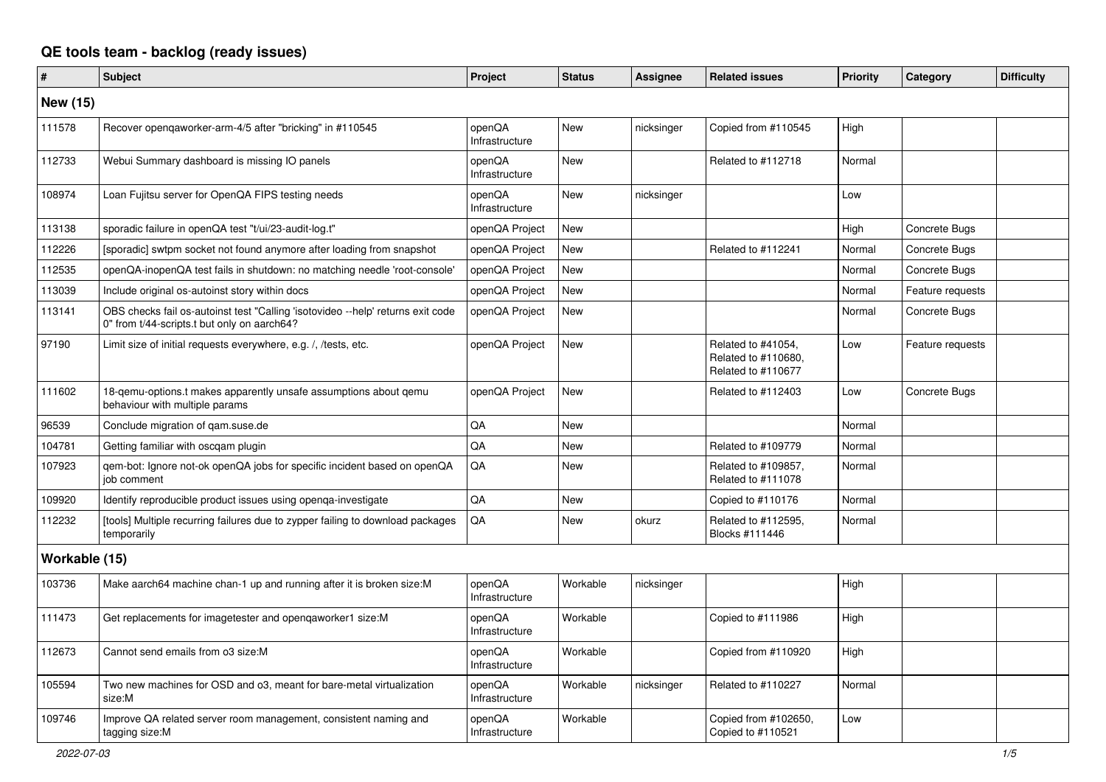## **QE tools team - backlog (ready issues)**

| $\vert$ #       | <b>Subject</b>                                                                                                                 | Project                  | <b>Status</b> | <b>Assignee</b> | <b>Related issues</b>                                           | Priority | Category         | <b>Difficulty</b> |
|-----------------|--------------------------------------------------------------------------------------------------------------------------------|--------------------------|---------------|-----------------|-----------------------------------------------------------------|----------|------------------|-------------------|
| <b>New (15)</b> |                                                                                                                                |                          |               |                 |                                                                 |          |                  |                   |
| 111578          | Recover openqaworker-arm-4/5 after "bricking" in #110545                                                                       | openQA<br>Infrastructure | <b>New</b>    | nicksinger      | Copied from #110545                                             | High     |                  |                   |
| 112733          | Webui Summary dashboard is missing IO panels                                                                                   | openQA<br>Infrastructure | <b>New</b>    |                 | Related to #112718                                              | Normal   |                  |                   |
| 108974          | Loan Fujitsu server for OpenQA FIPS testing needs                                                                              | openQA<br>Infrastructure | <b>New</b>    | nicksinger      |                                                                 | Low      |                  |                   |
| 113138          | sporadic failure in openQA test "t/ui/23-audit-log.t"                                                                          | openQA Project           | <b>New</b>    |                 |                                                                 | High     | Concrete Bugs    |                   |
| 112226          | [sporadic] swtpm socket not found anymore after loading from snapshot                                                          | openQA Project           | New           |                 | Related to #112241                                              | Normal   | Concrete Bugs    |                   |
| 112535          | openQA-inopenQA test fails in shutdown: no matching needle 'root-console'                                                      | openQA Project           | <b>New</b>    |                 |                                                                 | Normal   | Concrete Bugs    |                   |
| 113039          | Include original os-autoinst story within docs                                                                                 | openQA Project           | <b>New</b>    |                 |                                                                 | Normal   | Feature requests |                   |
| 113141          | OBS checks fail os-autoinst test "Calling 'isotovideo --help' returns exit code<br>0" from t/44-scripts.t but only on aarch64? | openQA Project           | New           |                 |                                                                 | Normal   | Concrete Bugs    |                   |
| 97190           | Limit size of initial requests everywhere, e.g. /, /tests, etc.                                                                | openQA Project           | New           |                 | Related to #41054,<br>Related to #110680,<br>Related to #110677 | Low      | Feature requests |                   |
| 111602          | 18-qemu-options.t makes apparently unsafe assumptions about qemu<br>behaviour with multiple params                             | openQA Project           | New           |                 | Related to #112403                                              | Low      | Concrete Bugs    |                   |
| 96539           | Conclude migration of gam.suse.de                                                                                              | QA                       | <b>New</b>    |                 |                                                                 | Normal   |                  |                   |
| 104781          | Getting familiar with oscqam plugin                                                                                            | QA                       | New           |                 | Related to #109779                                              | Normal   |                  |                   |
| 107923          | gem-bot: Ignore not-ok openQA jobs for specific incident based on openQA<br>job comment                                        | QA                       | New           |                 | Related to #109857,<br>Related to #111078                       | Normal   |                  |                   |
| 109920          | Identify reproducible product issues using openga-investigate                                                                  | QA                       | New           |                 | Copied to #110176                                               | Normal   |                  |                   |
| 112232          | [tools] Multiple recurring failures due to zypper failing to download packages<br>temporarily                                  | QA                       | <b>New</b>    | okurz           | Related to #112595,<br>Blocks #111446                           | Normal   |                  |                   |
| Workable (15)   |                                                                                                                                |                          |               |                 |                                                                 |          |                  |                   |
| 103736          | Make aarch64 machine chan-1 up and running after it is broken size: M                                                          | openQA<br>Infrastructure | Workable      | nicksinger      |                                                                 | High     |                  |                   |
| 111473          | Get replacements for imagetester and opengaworker1 size:M                                                                      | openQA<br>Infrastructure | Workable      |                 | Copied to #111986                                               | High     |                  |                   |
| 112673          | Cannot send emails from o3 size:M                                                                                              | openQA<br>Infrastructure | Workable      |                 | Copied from #110920                                             | High     |                  |                   |
| 105594          | Two new machines for OSD and o3, meant for bare-metal virtualization<br>size:M                                                 | openQA<br>Infrastructure | Workable      | nicksinger      | Related to #110227                                              | Normal   |                  |                   |
| 109746          | Improve QA related server room management, consistent naming and<br>tagging size:M                                             | openQA<br>Infrastructure | Workable      |                 | Copied from #102650,<br>Copied to #110521                       | Low      |                  |                   |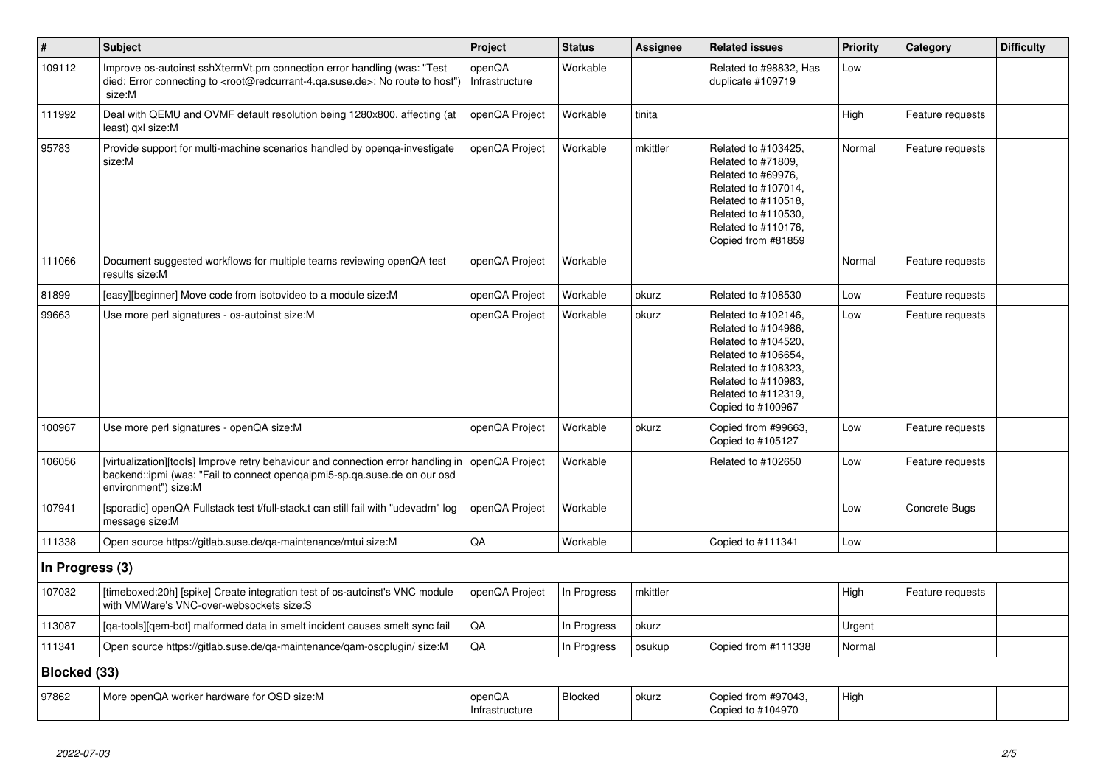| $\vert$ #       | <b>Subject</b>                                                                                                                                                                                    | Project                  | <b>Status</b> | <b>Assignee</b> | <b>Related issues</b>                                                                                                                                                              | <b>Priority</b> | Category         | <b>Difficulty</b> |
|-----------------|---------------------------------------------------------------------------------------------------------------------------------------------------------------------------------------------------|--------------------------|---------------|-----------------|------------------------------------------------------------------------------------------------------------------------------------------------------------------------------------|-----------------|------------------|-------------------|
| 109112          | Improve os-autoinst sshXtermVt.pm connection error handling (was: "Test<br>died: Error connecting to <root@redcurrant-4.qa.suse.de>: No route to host")<br/>size:M</root@redcurrant-4.qa.suse.de> | openQA<br>Infrastructure | Workable      |                 | Related to #98832, Has<br>duplicate #109719                                                                                                                                        | Low             |                  |                   |
| 111992          | Deal with QEMU and OVMF default resolution being 1280x800, affecting (at<br>least) gxl size:M                                                                                                     | openQA Project           | Workable      | tinita          |                                                                                                                                                                                    | High            | Feature requests |                   |
| 95783           | Provide support for multi-machine scenarios handled by openqa-investigate<br>size:M                                                                                                               | openQA Project           | Workable      | mkittler        | Related to #103425,<br>Related to #71809.<br>Related to #69976.<br>Related to #107014,<br>Related to #110518,<br>Related to #110530,<br>Related to #110176,<br>Copied from #81859  | Normal          | Feature requests |                   |
| 111066          | Document suggested workflows for multiple teams reviewing openQA test<br>results size:M                                                                                                           | openQA Project           | Workable      |                 |                                                                                                                                                                                    | Normal          | Feature requests |                   |
| 81899           | [easy][beginner] Move code from isotovideo to a module size:M                                                                                                                                     | openQA Project           | Workable      | okurz           | Related to #108530                                                                                                                                                                 | Low             | Feature requests |                   |
| 99663           | Use more perl signatures - os-autoinst size:M                                                                                                                                                     | openQA Project           | Workable      | okurz           | Related to #102146,<br>Related to #104986,<br>Related to #104520,<br>Related to #106654,<br>Related to #108323,<br>Related to #110983.<br>Related to #112319,<br>Copied to #100967 | Low             | Feature requests |                   |
| 100967          | Use more perl signatures - openQA size:M                                                                                                                                                          | openQA Project           | Workable      | okurz           | Copied from #99663,<br>Copied to #105127                                                                                                                                           | Low             | Feature requests |                   |
| 106056          | [virtualization][tools] Improve retry behaviour and connection error handling in<br>backend::ipmi (was: "Fail to connect opengaipmi5-sp.qa.suse.de on our osd<br>environment") size:M             | openQA Project           | Workable      |                 | Related to #102650                                                                                                                                                                 | Low             | Feature requests |                   |
| 107941          | [sporadic] openQA Fullstack test t/full-stack.t can still fail with "udevadm" log<br>message size:M                                                                                               | openQA Project           | Workable      |                 |                                                                                                                                                                                    | Low             | Concrete Bugs    |                   |
| 111338          | Open source https://gitlab.suse.de/qa-maintenance/mtui size:M                                                                                                                                     | QA                       | Workable      |                 | Copied to #111341                                                                                                                                                                  | Low             |                  |                   |
| In Progress (3) |                                                                                                                                                                                                   |                          |               |                 |                                                                                                                                                                                    |                 |                  |                   |
| 107032          | [timeboxed:20h] [spike] Create integration test of os-autoinst's VNC module<br>with VMWare's VNC-over-websockets size:S                                                                           | openQA Project           | In Progress   | mkittler        |                                                                                                                                                                                    | High            | Feature requests |                   |
| 113087          | [qa-tools][qem-bot] malformed data in smelt incident causes smelt sync fail                                                                                                                       | QA                       | In Progress   | okurz           |                                                                                                                                                                                    | Urgent          |                  |                   |
| 111341          | Open source https://gitlab.suse.de/qa-maintenance/qam-oscplugin/ size:M                                                                                                                           | QA                       | In Progress   | osukup          | Copied from #111338                                                                                                                                                                | Normal          |                  |                   |
| Blocked (33)    |                                                                                                                                                                                                   |                          |               |                 |                                                                                                                                                                                    |                 |                  |                   |
| 97862           | More openQA worker hardware for OSD size:M                                                                                                                                                        | openQA<br>Infrastructure | Blocked       | okurz           | Copied from #97043,<br>Copied to #104970                                                                                                                                           | High            |                  |                   |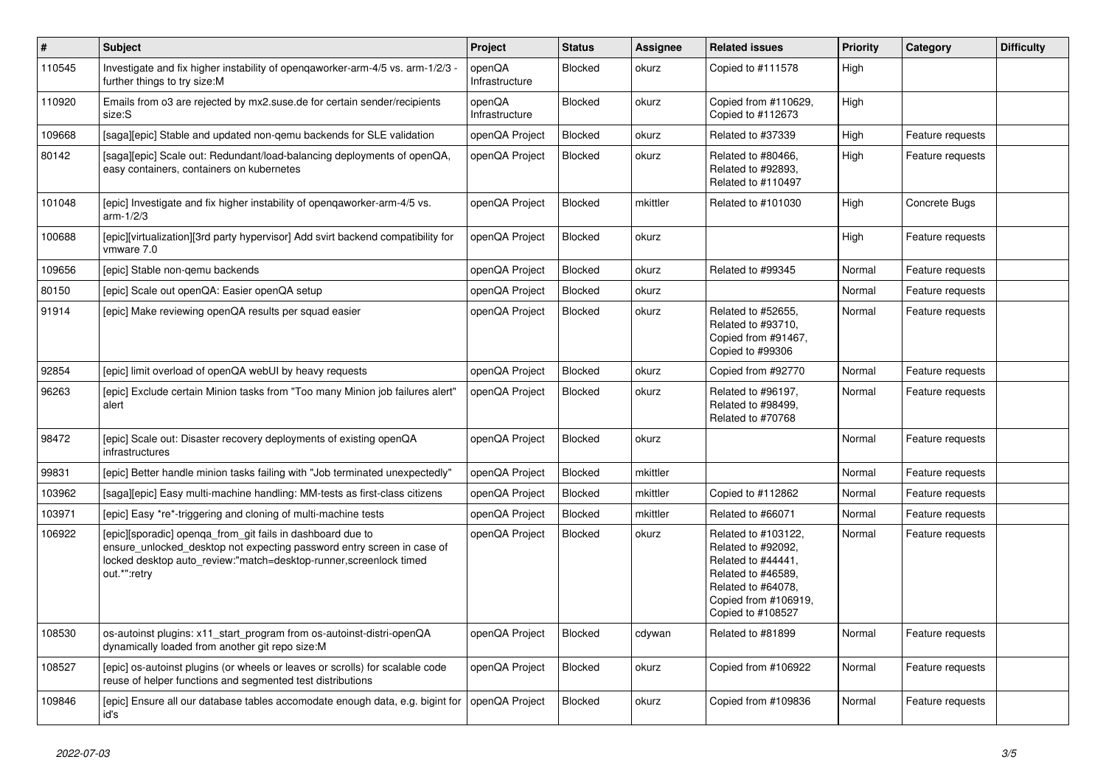| $\vert$ # | <b>Subject</b>                                                                                                                                                                                                             | Project                  | <b>Status</b> | Assignee | <b>Related issues</b>                                                                                                                                    | <b>Priority</b> | Category         | <b>Difficulty</b> |
|-----------|----------------------------------------------------------------------------------------------------------------------------------------------------------------------------------------------------------------------------|--------------------------|---------------|----------|----------------------------------------------------------------------------------------------------------------------------------------------------------|-----------------|------------------|-------------------|
| 110545    | Investigate and fix higher instability of opengaworker-arm-4/5 vs. arm-1/2/3<br>further things to try size:M                                                                                                               | openQA<br>Infrastructure | Blocked       | okurz    | Copied to #111578                                                                                                                                        | High            |                  |                   |
| 110920    | Emails from o3 are rejected by mx2.suse.de for certain sender/recipients<br>size:S                                                                                                                                         | openQA<br>Infrastructure | Blocked       | okurz    | Copied from #110629,<br>Copied to #112673                                                                                                                | High            |                  |                   |
| 109668    | [saga][epic] Stable and updated non-gemu backends for SLE validation                                                                                                                                                       | openQA Project           | Blocked       | okurz    | Related to #37339                                                                                                                                        | High            | Feature requests |                   |
| 80142     | [saga][epic] Scale out: Redundant/load-balancing deployments of openQA,<br>easy containers, containers on kubernetes                                                                                                       | openQA Project           | Blocked       | okurz    | Related to #80466,<br>Related to #92893,<br>Related to #110497                                                                                           | High            | Feature requests |                   |
| 101048    | [epic] Investigate and fix higher instability of openqaworker-arm-4/5 vs.<br>$arm-1/2/3$                                                                                                                                   | openQA Project           | Blocked       | mkittler | Related to #101030                                                                                                                                       | High            | Concrete Bugs    |                   |
| 100688    | [epic][virtualization][3rd party hypervisor] Add svirt backend compatibility for<br>vmware 7.0                                                                                                                             | openQA Project           | Blocked       | okurz    |                                                                                                                                                          | High            | Feature requests |                   |
| 109656    | [epic] Stable non-gemu backends                                                                                                                                                                                            | openQA Project           | Blocked       | okurz    | Related to #99345                                                                                                                                        | Normal          | Feature requests |                   |
| 80150     | [epic] Scale out openQA: Easier openQA setup                                                                                                                                                                               | openQA Project           | Blocked       | okurz    |                                                                                                                                                          | Normal          | Feature requests |                   |
| 91914     | [epic] Make reviewing openQA results per squad easier                                                                                                                                                                      | openQA Project           | Blocked       | okurz    | Related to #52655,<br>Related to #93710,<br>Copied from #91467,<br>Copied to #99306                                                                      | Normal          | Feature requests |                   |
| 92854     | [epic] limit overload of openQA webUI by heavy requests                                                                                                                                                                    | openQA Project           | Blocked       | okurz    | Copied from #92770                                                                                                                                       | Normal          | Feature requests |                   |
| 96263     | [epic] Exclude certain Minion tasks from "Too many Minion job failures alert"<br>alert                                                                                                                                     | openQA Project           | Blocked       | okurz    | Related to #96197.<br>Related to #98499.<br>Related to #70768                                                                                            | Normal          | Feature requests |                   |
| 98472     | [epic] Scale out: Disaster recovery deployments of existing openQA<br>infrastructures                                                                                                                                      | openQA Project           | Blocked       | okurz    |                                                                                                                                                          | Normal          | Feature requests |                   |
| 99831     | [epic] Better handle minion tasks failing with "Job terminated unexpectedly"                                                                                                                                               | openQA Project           | Blocked       | mkittler |                                                                                                                                                          | Normal          | Feature requests |                   |
| 103962    | [saga][epic] Easy multi-machine handling: MM-tests as first-class citizens                                                                                                                                                 | openQA Project           | Blocked       | mkittler | Copied to #112862                                                                                                                                        | Normal          | Feature requests |                   |
| 103971    | [epic] Easy *re*-triggering and cloning of multi-machine tests                                                                                                                                                             | openQA Project           | Blocked       | mkittler | Related to #66071                                                                                                                                        | Normal          | Feature requests |                   |
| 106922    | [epic][sporadic] openqa_from_git fails in dashboard due to<br>ensure unlocked desktop not expecting password entry screen in case of<br>locked desktop auto review:"match=desktop-runner, screenlock timed<br>out.*":retry | openQA Project           | Blocked       | okurz    | Related to #103122,<br>Related to #92092,<br>Related to #44441,<br>Related to #46589,<br>Related to #64078,<br>Copied from #106919,<br>Copied to #108527 | Normal          | Feature requests |                   |
| 108530    | os-autoinst plugins: x11 start program from os-autoinst-distri-openQA<br>dynamically loaded from another git repo size:M                                                                                                   | openQA Project           | Blocked       | cdywan   | Related to #81899                                                                                                                                        | Normal          | Feature requests |                   |
| 108527    | [epic] os-autoinst plugins (or wheels or leaves or scrolls) for scalable code<br>reuse of helper functions and segmented test distributions                                                                                | openQA Project           | Blocked       | okurz    | Copied from #106922                                                                                                                                      | Normal          | Feature requests |                   |
| 109846    | [epic] Ensure all our database tables accomodate enough data, e.g. bigint for<br>id's                                                                                                                                      | openQA Project           | Blocked       | okurz    | Copied from #109836                                                                                                                                      | Normal          | Feature requests |                   |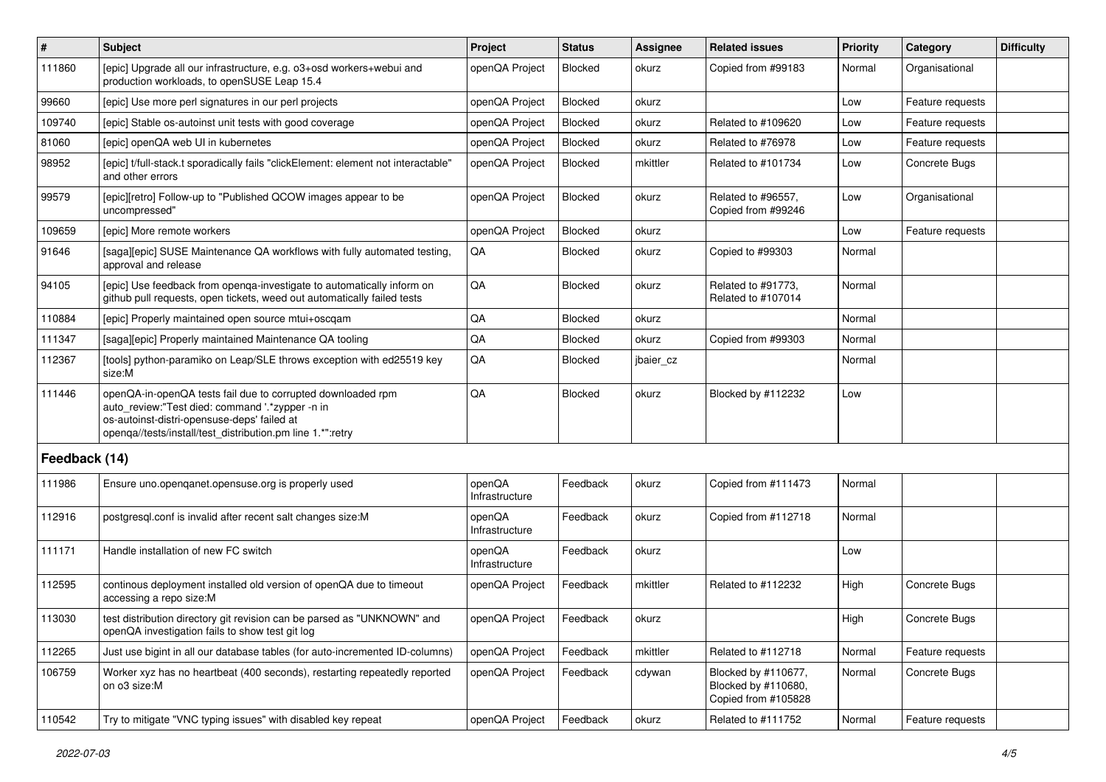| $\vert$ #     | Subject                                                                                                                                                                                                                     | Project                  | <b>Status</b> | <b>Assignee</b> | <b>Related issues</b>                                             | Priority | Category             | <b>Difficulty</b> |
|---------------|-----------------------------------------------------------------------------------------------------------------------------------------------------------------------------------------------------------------------------|--------------------------|---------------|-----------------|-------------------------------------------------------------------|----------|----------------------|-------------------|
| 111860        | [epic] Upgrade all our infrastructure, e.g. o3+osd workers+webui and<br>production workloads, to openSUSE Leap 15.4                                                                                                         | openQA Project           | Blocked       | okurz           | Copied from #99183                                                | Normal   | Organisational       |                   |
| 99660         | [epic] Use more perl signatures in our perl projects                                                                                                                                                                        | openQA Project           | Blocked       | okurz           |                                                                   | Low      | Feature requests     |                   |
| 109740        | [epic] Stable os-autoinst unit tests with good coverage                                                                                                                                                                     | openQA Project           | Blocked       | okurz           | Related to #109620                                                | Low      | Feature requests     |                   |
| 81060         | [epic] openQA web UI in kubernetes                                                                                                                                                                                          | openQA Project           | Blocked       | okurz           | Related to #76978                                                 | Low      | Feature requests     |                   |
| 98952         | [epic] t/full-stack.t sporadically fails "clickElement: element not interactable"<br>and other errors                                                                                                                       | openQA Project           | Blocked       | mkittler        | Related to #101734                                                | Low      | Concrete Bugs        |                   |
| 99579         | [epic][retro] Follow-up to "Published QCOW images appear to be<br>uncompressed"                                                                                                                                             | openQA Project           | Blocked       | okurz           | Related to #96557.<br>Copied from #99246                          | Low      | Organisational       |                   |
| 109659        | [epic] More remote workers                                                                                                                                                                                                  | openQA Project           | Blocked       | okurz           |                                                                   | Low      | Feature requests     |                   |
| 91646         | [saga][epic] SUSE Maintenance QA workflows with fully automated testing,<br>approval and release                                                                                                                            | QA                       | Blocked       | okurz           | Copied to #99303                                                  | Normal   |                      |                   |
| 94105         | [epic] Use feedback from openga-investigate to automatically inform on<br>github pull requests, open tickets, weed out automatically failed tests                                                                           | QA                       | Blocked       | okurz           | Related to #91773,<br>Related to #107014                          | Normal   |                      |                   |
| 110884        | [epic] Properly maintained open source mtui+oscqam                                                                                                                                                                          | QA                       | Blocked       | okurz           |                                                                   | Normal   |                      |                   |
| 111347        | [saga][epic] Properly maintained Maintenance QA tooling                                                                                                                                                                     | QA                       | Blocked       | okurz           | Copied from #99303                                                | Normal   |                      |                   |
| 112367        | [tools] python-paramiko on Leap/SLE throws exception with ed25519 key<br>size:M                                                                                                                                             | QA                       | Blocked       | jbaier_cz       |                                                                   | Normal   |                      |                   |
| 111446        | openQA-in-openQA tests fail due to corrupted downloaded rpm<br>auto_review:"Test died: command '.*zypper -n in<br>os-autoinst-distri-opensuse-deps' failed at<br>openqa//tests/install/test_distribution.pm line 1.*":retry | QA                       | Blocked       | okurz           | Blocked by #112232                                                | Low      |                      |                   |
| Feedback (14) |                                                                                                                                                                                                                             |                          |               |                 |                                                                   |          |                      |                   |
| 111986        | Ensure uno openganet opensuse org is properly used                                                                                                                                                                          | openQA<br>Infrastructure | Feedback      | okurz           | Copied from #111473                                               | Normal   |                      |                   |
| 112916        | postgresql.conf is invalid after recent salt changes size:M                                                                                                                                                                 | openQA<br>Infrastructure | Feedback      | okurz           | Copied from #112718                                               | Normal   |                      |                   |
| 111171        | Handle installation of new FC switch                                                                                                                                                                                        | openQA<br>Infrastructure | Feedback      | okurz           |                                                                   | Low      |                      |                   |
| 112595        | continous deployment installed old version of openQA due to timeout<br>accessing a repo size:M                                                                                                                              | openQA Project           | Feedback      | mkittler        | Related to #112232                                                | High     | Concrete Bugs        |                   |
| 113030        | test distribution directory git revision can be parsed as "UNKNOWN" and<br>openQA investigation fails to show test git log                                                                                                  | openQA Project           | Feedback      | okurz           |                                                                   | High     | <b>Concrete Bugs</b> |                   |
| 112265        | Just use bigint in all our database tables (for auto-incremented ID-columns)                                                                                                                                                | openQA Project           | Feedback      | mkittler        | Related to #112718                                                | Normal   | Feature requests     |                   |
| 106759        | Worker xyz has no heartbeat (400 seconds), restarting repeatedly reported<br>on o3 size:M                                                                                                                                   | openQA Project           | Feedback      | cdywan          | Blocked by #110677.<br>Blocked by #110680,<br>Copied from #105828 | Normal   | Concrete Bugs        |                   |
| 110542        | Try to mitigate "VNC typing issues" with disabled key repeat                                                                                                                                                                | openQA Project           | Feedback      | okurz           | Related to #111752                                                | Normal   | Feature requests     |                   |